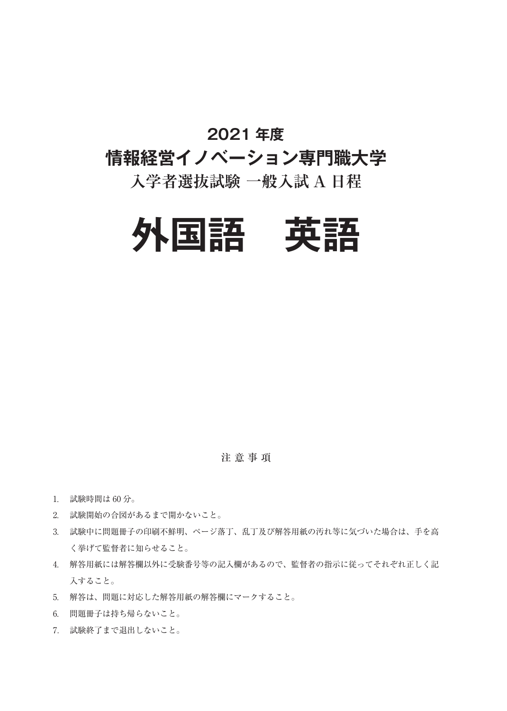### **2021 年度**

# **情報経営イノベーション専門職大学**

## **入学者選抜試験 一般入試 A 日程**



注 意 事 項

- 1. 試験時間は 60 分。
- 2. 試験開始の合図があるまで開かないこと。
- 3. 試験中に問題冊子の印刷不鮮明、ページ落丁、乱丁及び解答用紙の汚れ等に気づいた場合は、手を高 く挙げて監督者に知らせること。
- 4. 解答用紙には解答欄以外に受験番号等の記入欄があるので、監督者の指示に従ってそれぞれ正しく記 入すること。
- 5. 解答は、問題に対応した解答用紙の解答欄にマークすること。
- 6. 問題冊子は持ち帰らないこと。
- 7. 試験終了まで退出しないこと。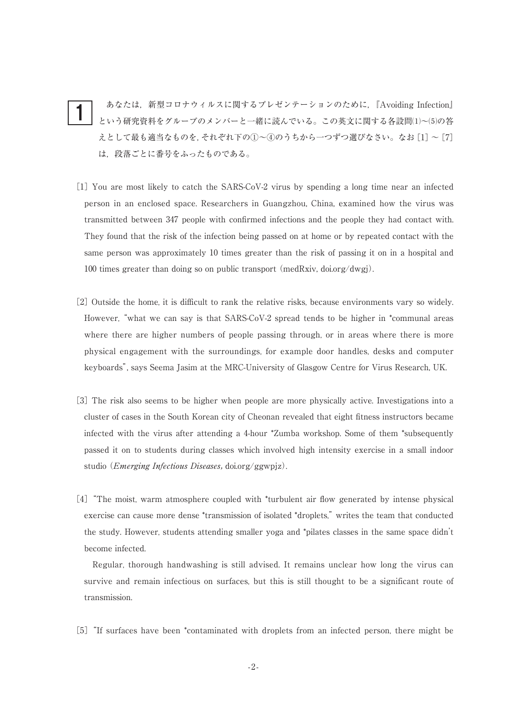あなたは,新型コロナウィルスに関するプレゼンテーションのために,『Avoiding Infection』 という研究資料をグループのメンバーと一緒に読んでいる。この英文に関する各設問⑴~⑸の答  $\lambda$ として最も適当なものを、それぞれ下の①~4のうちから一つずつ選びなさい。なお $[1]$ ~ $[7]$ は,段落ごとに番号をふったものである。 1

- [1]You are most likely to catch the SARS-CoV-2 virus by spending a long time near an infected person in an enclosed space. Researchers in Guangzhou, China, examined how the virus was transmitted between 347 people with confirmed infections and the people they had contact with. They found that the risk of the infection being passed on at home or by repeated contact with the same person was approximately 10 times greater than the risk of passing it on in a hospital and 100 times greater than doing so on public transport(medRxiv, doi.org/dwgj).
- [2] Outside the home, it is difficult to rank the relative risks, because environments vary so widely. However, "what we can say is that SARS-CoV-2 spread tends to be higher in \*communal areas where there are higher numbers of people passing through, or in areas where there is more physical engagement with the surroundings, for example door handles, desks and computer keyboards", says Seema Jasim at the MRC-University of Glasgow Centre for Virus Research, UK.
- [3] The risk also seems to be higher when people are more physically active. Investigations into a cluster of cases in the South Korean city of Cheonan revealed that eight fitness instructors became infected with the virus after attending a 4-hour \*Zumba workshop. Some of them \*subsequently passed it on to students during classes which involved high intensity exercise in a small indoor studio(Emerging Infectious Diseases*,* doi.org/ggwpjz).
- [4]"The moist, warm atmosphere coupled with \*turbulent air flow generated by intense physical exercise can cause more dense \*transmission of isolated \*droplets,"writes the team that conducted the study. However, students attending smaller yoga and \*pilates classes in the same space didn't become infected.

 Regular, thorough handwashing is still advised. It remains unclear how long the virus can survive and remain infectious on surfaces, but this is still thought to be a significant route of transmission.

[5]"If surfaces have been \*contaminated with droplets from an infected person, there might be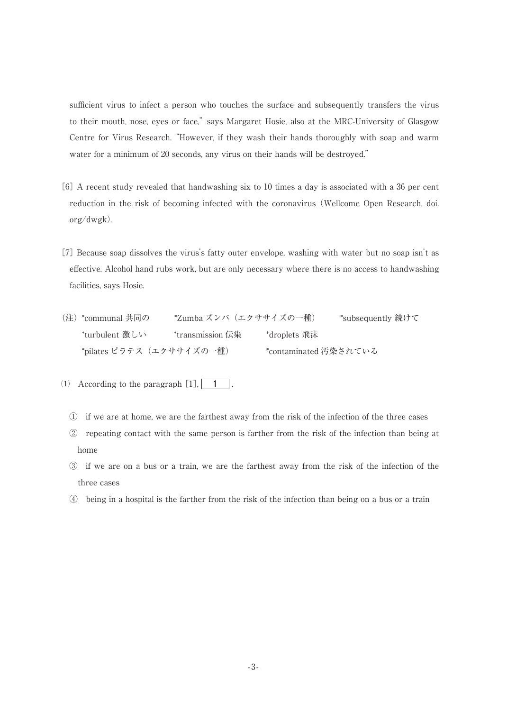sufficient virus to infect a person who touches the surface and subsequently transfers the virus to their mouth, nose, eyes or face,"says Margaret Hosie, also at the MRC-University of Glasgow Centre for Virus Research."However, if they wash their hands thoroughly with soap and warm water for a minimum of 20 seconds, any virus on their hands will be destroyed."

- [6] A recent study revealed that handwashing six to 10 times a day is associated with a 36 per cent reduction in the risk of becoming infected with the coronavirus(Wellcome Open Research, doi. org/dwgk).
- [7] Because soap dissolves the virus's fatty outer envelope, washing with water but no soap isn't as effective. Alcohol hand rubs work, but are only necessary where there is no access to handwashing facilities, says Hosie.
- (注)\*communal 共同の \*Zumba ズンバ(エクササイズの一種) \*subsequently 続けて \*turbulent 激しい \*transmission 伝染 \*droplets 飛沫 \*pilates ピラテス(エクササイズの一種) \*contaminated 汚染されている
- (1) According to the paragraph  $[1]$ , 1
	- ① if we are at home, we are the farthest away from the risk of the infection of the three cases
	- ② repeating contact with the same person is farther from the risk of the infection than being at home
	- ③ if we are on a bus or a train, we are the farthest away from the risk of the infection of the three cases
	- ④ being in a hospital is the farther from the risk of the infection than being on a bus or a train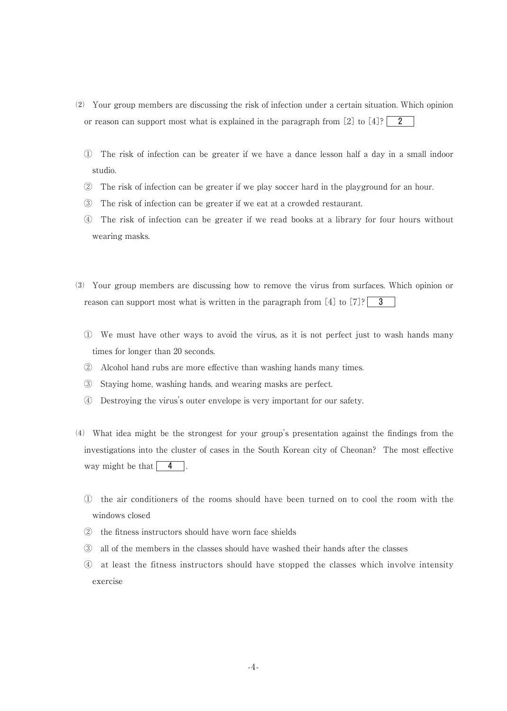- ⑵ Your group members are discussing the risk of infection under a certain situation. Which opinion or reason can support most what is explained in the paragraph from [2] to [4]? 2
	- ① The risk of infection can be greater if we have a dance lesson half a day in a small indoor studio.
	- ② The risk of infection can be greater if we play soccer hard in the playground for an hour.
	- ③ The risk of infection can be greater if we eat at a crowded restaurant.
	- ④ The risk of infection can be greater if we read books at a library for four hours without wearing masks.
- ⑶ Your group members are discussing how to remove the virus from surfaces. Which opinion or reason can support most what is written in the paragraph from [4] to [7]? 3
	- ① We must have other ways to avoid the virus, as it is not perfect just to wash hands many times for longer than 20 seconds.
	- ② Alcohol hand rubs are more effective than washing hands many times.
	- ③ Staying home, washing hands, and wearing masks are perfect.
	- ④ Destroying the virus's outer envelope is very important for our safety.
- ⑷ What idea might be the strongest for your group's presentation against the findings from the investigations into the cluster of cases in the South Korean city of Cheonan? The most effective way might be that  $\begin{vmatrix} 4 \end{vmatrix}$ 
	- ① the air conditioners of the rooms should have been turned on to cool the room with the windows closed
	- ② the fitness instructors should have worn face shields
	- ③ all of the members in the classes should have washed their hands after the classes
	- ④ at least the fitness instructors should have stopped the classes which involve intensity exercise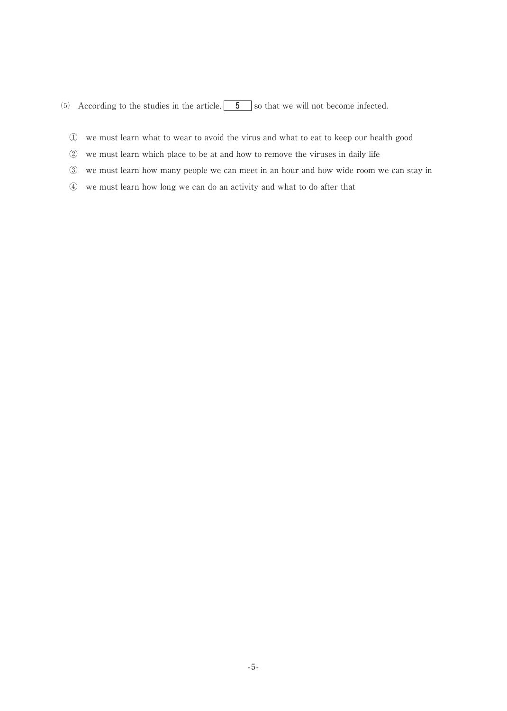- (5) According to the studies in the article,  $\boxed{5}$  so that we will not become infected.
	- we must learn what to wear to avoid the virus and what to eat to keep our health good
	- we must learn which place to be at and how to remove the viruses in daily life
	- we must learn how many people we can meet in an hour and how wide room we can stay in
	- we must learn how long we can do an activity and what to do after that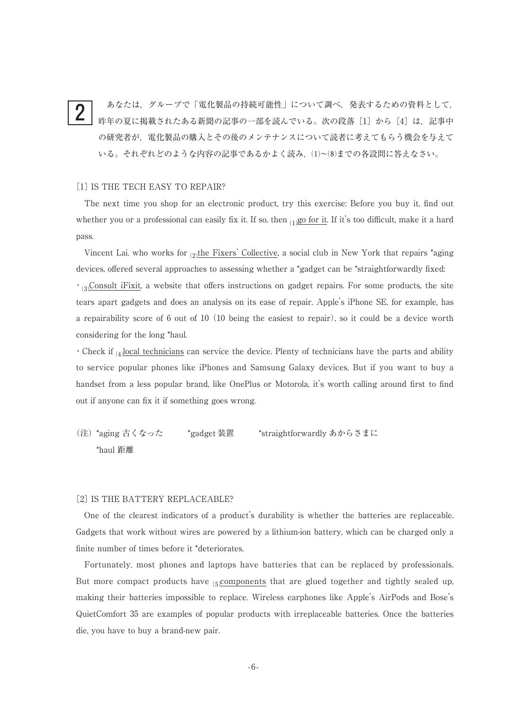あなたは,グループで「電化製品の持続可能性」について調べ,発表するための資料として, 昨年の夏に掲載されたある新聞の記事の一部を読んでいる。次の段落[1]から[4]は、記事中 の研究者が,電化製品の購入とその後のメンテナンスについて読者に考えてもらう機会を与えて いる。それぞれどのような内容の記事であるかよく読み,⑴~⑻までの各設問に答えなさい。 2

#### [1] IS THE TECH EASY TO REPAIR?

 The next time you shop for an electronic product, try this exercise: Before you buy it, find out whether you or a professional can easily fix it. If so, then  $_{(1)}$ go for it. If it's too difficult, make it a hard pass.

Vincent Lai, who works for  $\Omega$ <sub>1</sub>the Fixers' Collective, a social club in New York that repairs \*aging devices, offered several approaches to assessing whether a \*gadget can be \*straightforwardly fixed:

 $\cdot$  (3)Consult iFixit, a website that offers instructions on gadget repairs. For some products, the site tears apart gadgets and does an analysis on its ease of repair. Apple's iPhone SE, for example, has a repairability score of 6 out of 10(10 being the easiest to repair), so it could be a device worth considering for the long \*haul.

• Check if  $\alpha$  local technicians can service the device. Plenty of technicians have the parts and ability to service popular phones like iPhones and Samsung Galaxy devices. But if you want to buy a handset from a less popular brand, like OnePlus or Motorola, it's worth calling around first to find out if anyone can fix it if something goes wrong.

(注) \*aging 古くなった \*gadget 装置 \*straightforwardly あからさまに \*haul 距離

#### [2] IS THE BATTERY REPLACEABLE?

 One of the clearest indicators of a product's durability is whether the batteries are replaceable. Gadgets that work without wires are powered by a lithium-ion battery, which can be charged only a finite number of times before it \*deteriorates.

 Fortunately, most phones and laptops have batteries that can be replaced by professionals. But more compact products have  $_{(5)}$ components that are glued together and tightly sealed up, making their batteries impossible to replace. Wireless earphones like Apple's AirPods and Bose's QuietComfort 35 are examples of popular products with irreplaceable batteries. Once the batteries die, you have to buy a brand-new pair.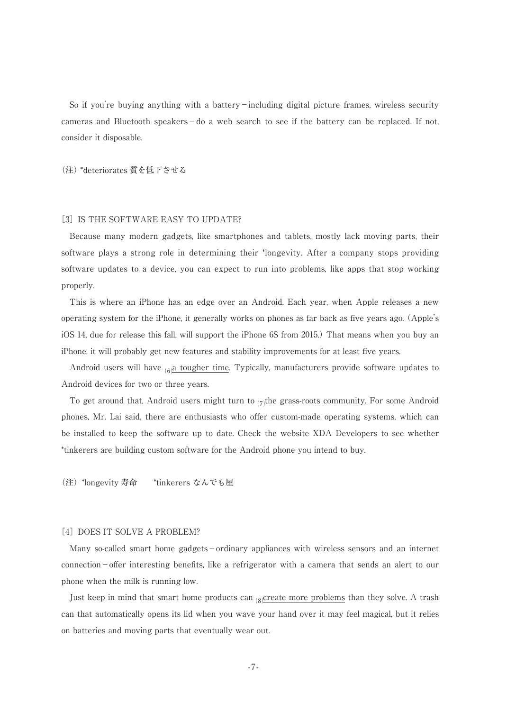So if you're buying anything with a battery-including digital picture frames, wireless security cameras and Bluetooth speakers-do a web search to see if the battery can be replaced. If not, consider it disposable.

(注)\*deteriorates 質を低下させる

#### [3] IS THE SOFTWARE EASY TO UPDATE?

 Because many modern gadgets, like smartphones and tablets, mostly lack moving parts, their software plays a strong role in determining their \*longevity. After a company stops providing software updates to a device, you can expect to run into problems, like apps that stop working properly.

 This is where an iPhone has an edge over an Android. Each year, when Apple releases a new operating system for the iPhone, it generally works on phones as far back as five years ago.(Apple's iOS 14, due for release this fall, will support the iPhone 6S from 2015.) That means when you buy an iPhone, it will probably get new features and stability improvements for at least five years.

Android users will have  $_{(6)}$ a tougher time. Typically, manufacturers provide software updates to Android devices for two or three years.

To get around that, Android users might turn to  $\frac{7}{10}$ the grass-roots community. For some Android phones, Mr. Lai said, there are enthusiasts who offer custom-made operating systems, which can be installed to keep the software up to date. Check the website XDA Developers to see whether \*tinkerers are building custom software for the Android phone you intend to buy.

(注) \*longevity 寿命 \*tinkerers なんでも屋

#### [4] DOES IT SOLVE A PROBLEM?

Many so-called smart home gadgets-ordinary appliances with wireless sensors and an internet connection-offer interesting benefits, like a refrigerator with a camera that sends an alert to our phone when the milk is running low.

Just keep in mind that smart home products can  $_{(8)}$ create more problems than they solve. A trash can that automatically opens its lid when you wave your hand over it may feel magical, but it relies on batteries and moving parts that eventually wear out.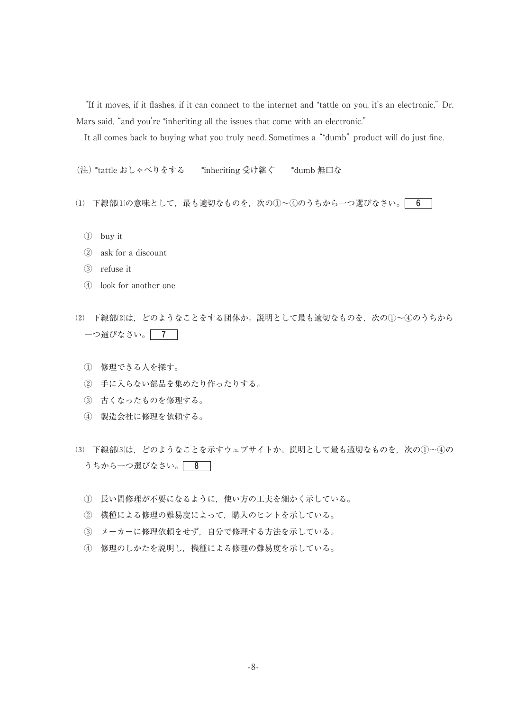"If it moves, if it flashes, if it can connect to the internet and \*tattle on you, it's an electronic,"Dr. Mars said, "and you're \*inheriting all the issues that come with an electronic."

It all comes back to buying what you truly need. Sometimes a "\*dumb" product will do just fine.

(注)\*tattle おしゃべりをする \*inheriting 受け継ぐ \*dumb 無口な

- $(1)$  下線部 $(1)$ の意味として、最も適切なものを、次の①~4のうちから一つ選びなさい。
	- ① buy it
	- ② ask for a discount
	- ③ refuse it
	- ④ look for another one
- ⑵ 下線部⑵は,どのようなことをする団体か。説明として最も適切なものを,次の①~④のうちから 一つ選びなさい。<br>
7
	- ① 修理できる人を探す。
	- ② 手に入らない部品を集めたり作ったりする。
	- ③ 古くなったものを修理する。
	- ④ 製造会社に修理を依頼する。
- ⑶ 下線部⑶は,どのようなことを示すウェブサイトか。説明として最も適切なものを,次の①~④の うちから一つ選びなさい。<br>8
	- ① 長い間修理が不要になるように,使い方の工夫を細かく示している。
	- ② 機種による修理の難易度によって,購入のヒントを示している。
	- ③ メーカーに修理依頼をせず,自分で修理する方法を示している。
	- ④ 修理のしかたを説明し,機種による修理の難易度を示している。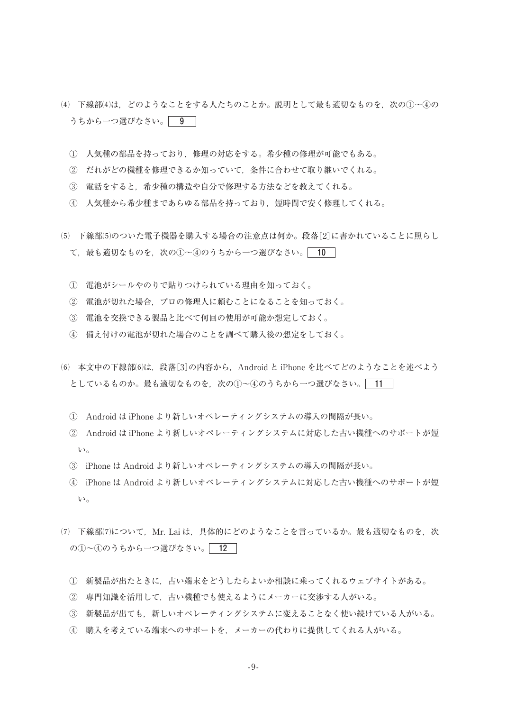- ⑷ 下線部⑷は,どのようなことをする人たちのことか。説明として最も適切なものを,次の①~④の うちから一つ選びなさい。| 9 |
	- ① 人気種の部品を持っており,修理の対応をする。希少種の修理が可能でもある。
	- ② だれがどの機種を修理できるか知っていて,条件に合わせて取り継いでくれる。
	- ③ 電話をすると,希少種の構造や自分で修理する方法などを教えてくれる。
	- ④ 人気種から希少種まであらゆる部品を持っており,短時間で安く修理してくれる。
- ⑸ 下線部⑸のついた電子機器を購入する場合の注意点は何か。段落[2]に書かれていることに照らし て、最も適切なものを、次の①~④のうちから一つ選びなさい。 | 10 |
	- ① 電池がシールやのりで貼りつけられている理由を知っておく。
	- ② 電池が切れた場合,プロの修理人に頼むことになることを知っておく。
	- ③ 電池を交換できる製品と比べて何回の使用が可能か想定しておく。
	- ④ 備え付けの電池が切れた場合のことを調べて購入後の想定をしておく。
- ⑹ 本文中の下線部⑹は,段落[3]の内容から,Android と iPhone を比べてどのようなことを述べよう としているものか。最も適切なものを, 次の①~④のうちから一つ選びなさい。 | 11 |
	- ① Android は iPhone より新しいオペレーティングシステムの導入の間隔が長い。
	- ② Android は iPhone より新しいオペレーティングシステムに対応した古い機種へのサポートが短  $V_{\lambda_{\alpha}}$
	- ③ iPhone は Android より新しいオペレーティングシステムの導入の間隔が長い。
	- ④ iPhone は Android より新しいオペレーティングシステムに対応した古い機種へのサポートが短  $V_{\lambda}$
- (7) 下線部(7)について, Mr. Lai は, 具体的にどのようなことを言っているか。最も適切なものを, 次 の1つ→4のうちから一つ選びなさい。| 12 |
	- ① 新製品が出たときに,古い端末をどうしたらよいか相談に乗ってくれるウェブサイトがある。
	- ② 専門知識を活用して,古い機種でも使えるようにメーカーに交渉する人がいる。
	- ③ 新製品が出ても,新しいオペレーティングシステムに変えることなく使い続けている人がいる。
	- ④ 購入を考えている端末へのサポートを,メーカーの代わりに提供してくれる人がいる。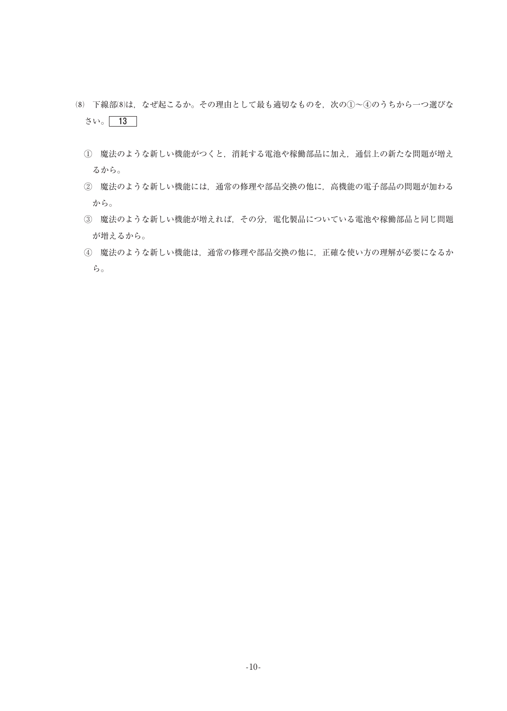- ⑻ 下線部⑻は,なぜ起こるか。その理由として最も適切なものを,次の①~④のうちから一つ選びな さい。 13
	- ① 魔法のような新しい機能がつくと,消耗する電池や稼働部品に加え,通信上の新たな問題が増え るから。
	- ② 魔法のような新しい機能には,通常の修理や部品交換の他に,高機能の電子部品の問題が加わる から。
	- ③ 魔法のような新しい機能が増えれば,その分,電化製品についている電池や稼働部品と同じ問題 が増えるから。
	- ④ 魔法のような新しい機能は,通常の修理や部品交換の他に,正確な使い方の理解が必要になるか ら。